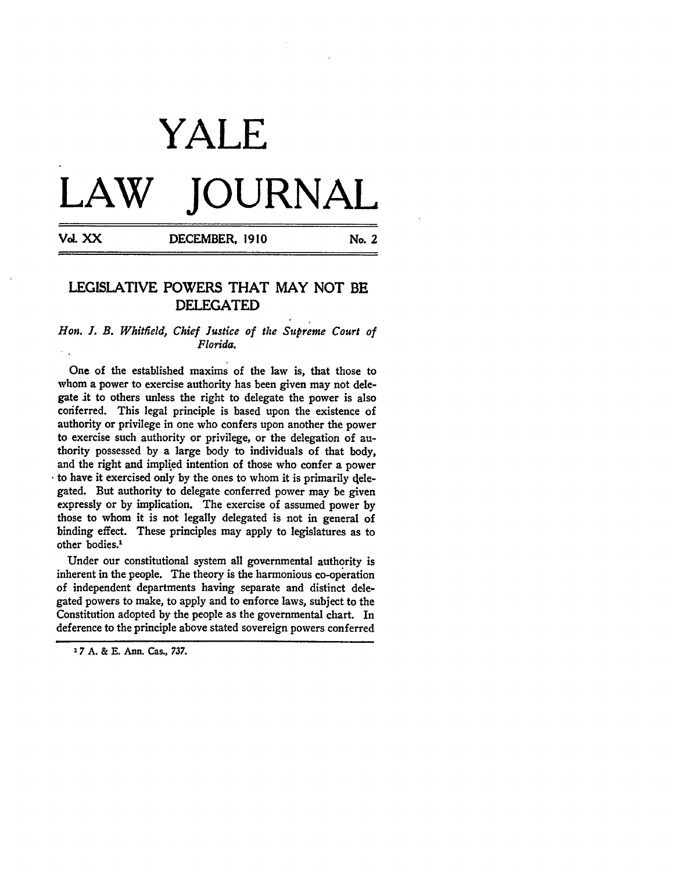## **YALE LAW JOURNAL**

## VOL **XX** DECEMBER, 1910 No. 2

## LEGISLATIVE POWERS THAT MAY NOT BE DELEGATED

*Hon. I. B. Whitfield, Chief Justice of the Supreme Court of Florida.*

One of the established maxims of the law is, that those to whom a power to exercise authority has been given may not delegate it to others unless the right to delegate the power is also coriferred. This legal principle is based upon the existence of authority or privilege in one who confers upon another the power to exercise such authority or privilege, or the delegation of authority possessed by a large body to individuals of that body, and the right and implied intention of those who confer a power to have it exercised only by the ones to whom it is primarily delegated. But authority to delegate conferred power may be given expressly or by implication. The exercise of assumed power by those to whom it is not legally delegated is not in general of binding effect. These principles may apply to legislatures as to other bodies."

Under our constitutional system all governmental authority is inherent in the people. The theory is the harmonious co-operation of independent departments having separate and distinct delegated powers to make, to apply and to enforce laws, subject to the Constitution adopted by the people as the governmental chart. In deference to the principle above stated sovereign powers conferred

**<sup>17</sup> A.** & **E. Ann.** Cas., *737.*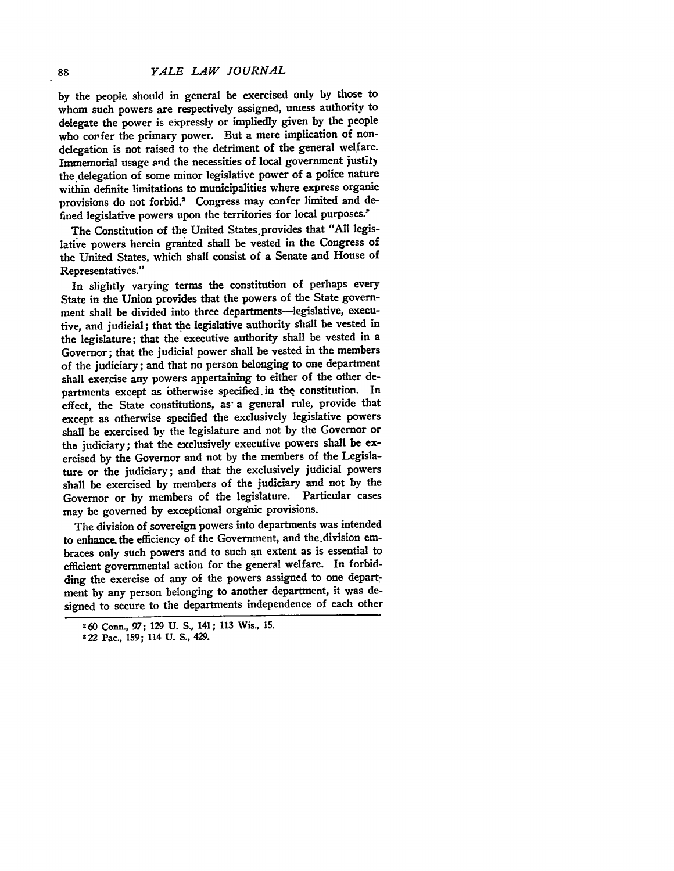**by** the people should in general be exercised only **by** those to whom such powers are respectively assigned, umess authority to delegate the power is expressly or impliedly given **by** the people who cor fer the primary power. But a mere implication of nondelegation is not raised to the detriment of the general welfare. Immemorial usage and the necessities of local government **justit)** the delegation of some minor legislative power of a police nature within definite limitations to municipalities where express organic provisions do not forbid.<sup>2</sup> Congress may confer limited and defined legislative powers upon the territories -for local purposes.'

The Constitution of the United States.provides that **"All** legislative powers herein granted shall be vested in the Congress of the United States, which shall consist of a Senate and House of Representatives."

In slightly varying terms the constitution of perhaps every State in the Union provides that the powers of the State government shall be divided into three departments-legislative, executive, and judicial; that the legislative authority shall be vested in the legislature; that the executive authority shall be vested in a Governor; that the judicial power shall be vested in the members of the judiciary; and that no person belonging to one department shall exercise any powers appertaining to either of the other departments except as btherwise specified **.in the** constitution. In effect, the State constitutions, as a general rule, provide that except as otherwise specified the exclusively legislative powers shall be exercised **by** the legislature and not **by** the Governor or the judiciary; that the exclusively executive powers shall be exercised **by** the Governor and not **by** the members of the Legislature or the judiciary; and that the exclusively judicial powers shall be exercised **by** members of the judiciary and not **by** the Governor or **by** members of the legislature. Particular cases may be governed **by** exceptional organic provisions.

The division of sovereign powers into departments was intended to enhance. the efficiency of the Government, and the.division embraces only such powers and to such an extent as is essential to efficient governmental action for the general welfare. In forbidding the exercise of any of the powers assigned to one department **by** any person belonging to another department, it was designed to secure to the departments independence of each other

**<sup>260</sup>** Conn., *97;* **129** U. S., 141; **113** Wis., **15.**

**a22** Pac., **159;** 114 **U. S.,** 429.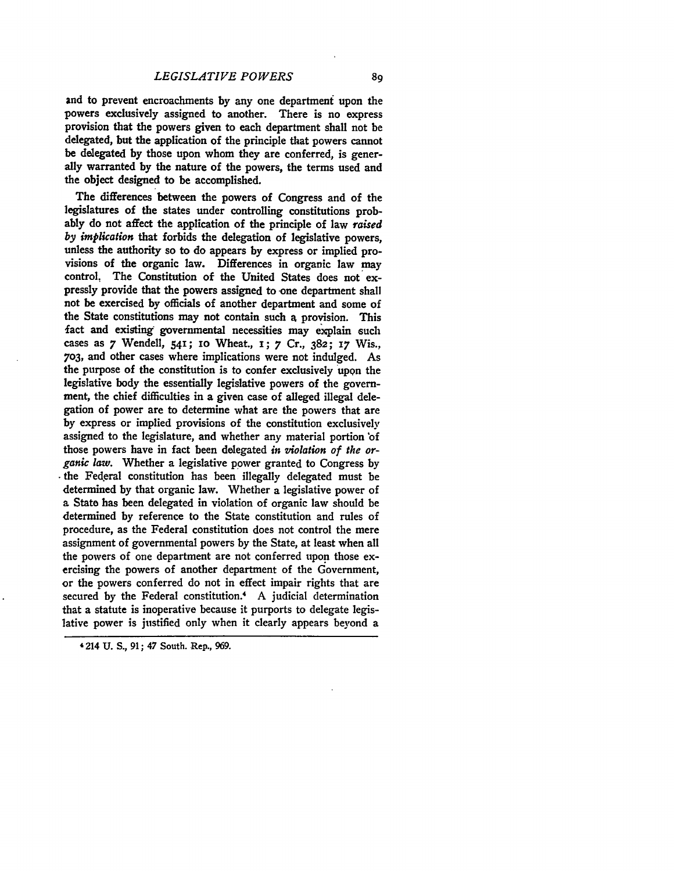and to prevent encroachments **by** any one department upon the powers exclusively assigned to another. There is no express provision that the powers given to each department shall not be delegated, but the application of the principle that powers cannot be delegated **by** those upon whom they are conferred, is generally warranted **by** the nature of the powers, the terms used and the object designed to be accomplished.

The differences between the powers of Congress and of the legislatures of the states under controlling constitutions probably do not affect the application of the principle of law *raised by implication* that forbids the delegation of legislative powers, unless the authority so to do appears **by** express or implied provisions of the organic law. Differences in organic law may control. The Constitution of the United States does not expressly provide that the powers assigned to one department shall not be exercised **by** officials of another department and some of the State constitutions may not contain such a provision. This fact and existing governmental necessities may explain such cases as **7** Wendell, **54i;** io Wheat., **1; 7** Cr., **382; 17** Wis., **703,** and other cases where implications were not indulged. As the purpose of the constitution is to confer exclusively upon the legislative body the essentially legislative powers of the government, the chief difficulties in a given case of alleged illegal delegation of power are to determine what are the powers that are **by** express or implied provisions of the constitution exclusively assigned to the legislature, and whether any material portion **'of** those powers have in fact been delegated *in violation of the organic law.* Whether a legislative power granted to Congress **by** -the Federal constitution has been illegally delegated must be determined **by** that organic law. Whether a legislative power of a State has been delegated in violation of organic law should be determined **by** reference to the State constitution and rules of procedure, as the Federal constitution does not control the mere assignment of governmental powers **by** the State, at least when all the powers of one department are not conferred upon those exercising the powers of another department of the Government, or the powers conferred do not in effect impair rights that are secured **by** the Federal constitution.' **A** judicial determination that a statute is inoperative because it purports to delegate legislative power is justified only when it clearly appears beyond a

**' 214 U. S., 91; 47** South. **Rep., 969.**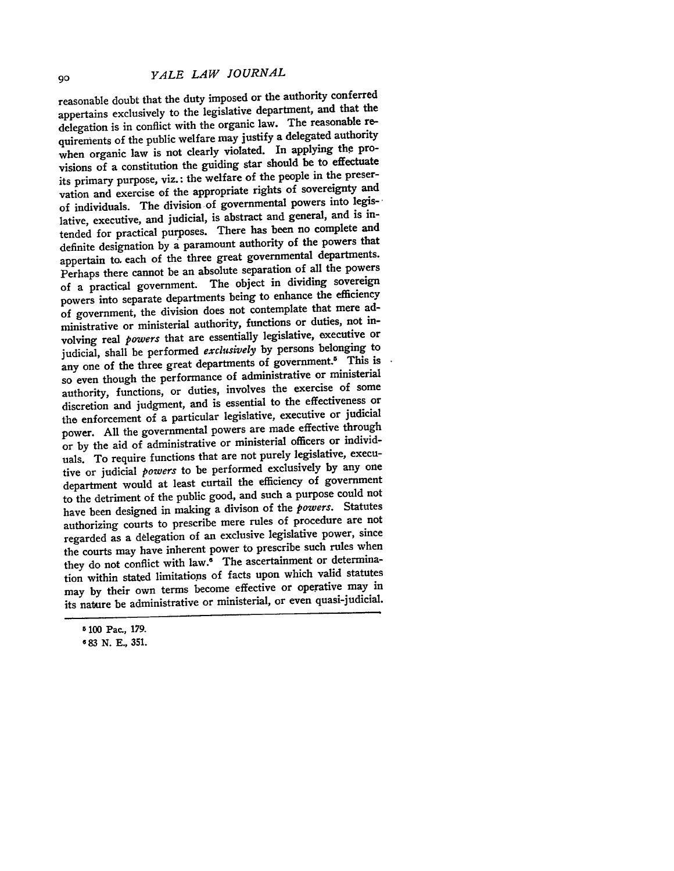**<sup>90</sup>***YALE LAW JOURNAL*

reasonable doubt that the duty imposed or the authority conferred appertains exclusively to the legislative department, and that the delegation is in conflict with the organic law. The reasonable requirements of the public welfare may justify a delegated authority when organic law is not dearly violated. In applying the provisions of a constitution the guiding star should be to effectuate its primary purpose, viz.: the welfare of the people in the preservation and exercise of the appropriate rights of sovereignty and of individuals. The division of governmental powers into legislative, executive, and judicial, is abstract and general, and is intended for practical purposes. There has been no complete and definite designation by a paramount authority of the powers that appertain to. each of the three great governmental departments. Perhaps there cannot be an absolute separation of all the powers of a practical government. The object in dividing sovereign powers into separate departments being to enhance the efficiency of government, the division does not contemplate that mere administrative or ministerial authority, functions or duties, not involving real powers that are essentially legislative, executive or judicial, shall be performed *exclusively* by persons belonging to any one of the three great departments of government.<sup>5</sup> This is so even though the performance of administrative or ministerial authority, functions, or duties, involves the exercise of some discretion and judgment, and is essential to the effectiveness or the enforcement of a particular legislative, executive or judicial power. All the governmental powers are made effective through or by the aid of administrative or ministerial officers or individuals. To require functions that are not purely legislative, executive or judicial *powers* to be performed exclusively **by** any one department would at least curtail the efficiency of government to the detriment of the public good, and such a purpose could not have been designed **in** making a divison of the *powers.* Statutes authorizing courts to prescribe mere rules of procedure are not regarded as a delegation of an exclusive legislative power, since the courts may have inherent power to prescribe such rules when they do not conflict with law.<sup>6</sup> The ascertainment or determination within stated limitations of facts upon which valid statutes may **by** their own terms become effective or operative may in its nature be administrative or ministerial, or even quasi-judicial.

**<sup>5 100</sup>** Pac., **179. 6 83 N. E., 351.**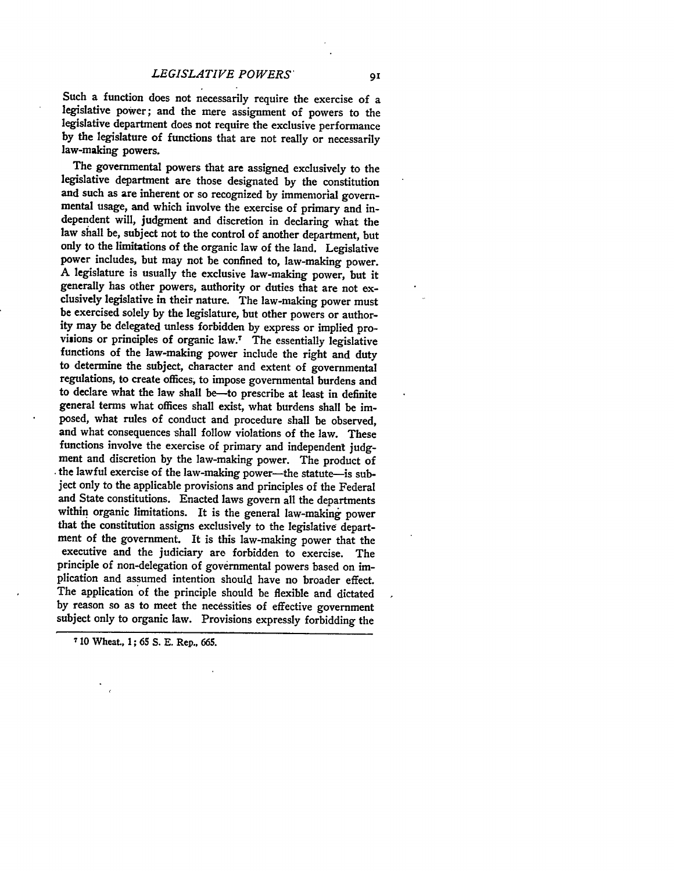Such a function does not necessarily require the exercise of a legislative power; and the mere assignment of powers to the legislative department does not require the exclusive performance **by** the legislature of functions that are not really or necessarily law-making powers.

The governmental powers that are assigned exclusively to the legislative department are those designated **by** the constitution and such as are inherent or so recognized **by** immemorial govern- mental usage, and which involve the exercise of primary and independent will, judgment and discretion in declaring what the law shall be, subject not to the control of another department, but only to the limitations of the organic law of the land. Legislative power includes, but may not be confined to, law-making power. A legislature is usually the exclusive law-making power, but it generally has other powers, authority or duties that are not exclusively legislative in their nature. The law-making power must be exercised solely **by** the legislature, but other powers or authority may be delegated unless forbidden by express or implied provisions or principles of organic law.<sup>7</sup> The essentially legislative functions of the law-making power include the right and duty to determine the subject, character and extent of governmental regulations, to create offices, to impose governmental burdens and to declare what the law shall be-to prescribe at least in definite general terms what offices shall exist, what burdens shall be imposed, what rules of conduct and procedure shall be observed, and what consequences shall follow violations of the law. These functions involve the exercise of primary and independent **judg**ment and discretion **by** the law-making power. The product of the lawful exercise of the law-making power-the statute-is subject only to the applicable provisions and principles of the Federal and State constitutions. Enacted laws govern all the departments within organic limitations. It is the general law-making power that the constitution assigns exclusively to the legislative department of the government. It is this law-making power that the executive and the judiciary are forbidden to exercise. The principle of non-delegation of governmental powers based on implication and assumed intention should have no broader effect. The application of the principle should be flexible and dictated **by** reason so as to meet the necessities of effective government subject only to organic law. Provisions expressly forbidding the

**7 10** Wheat., **1; 65** S. **E.** Rep., 665.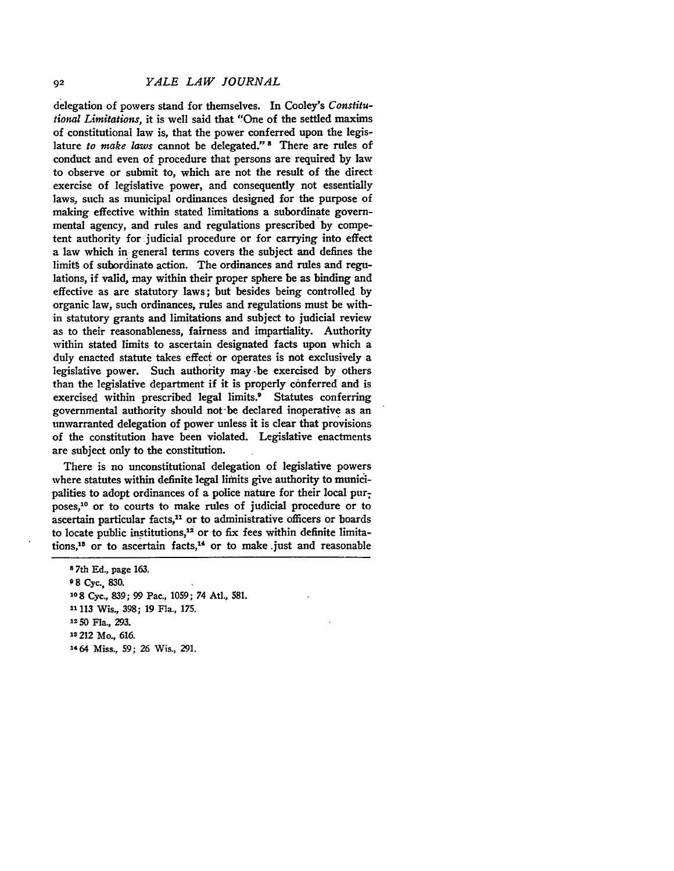delegation of powers stand for themselves. In Cooley's *Constitutional Limitations,* it is well said that "One of the settled maxims of constitutional law is, that the power conferred upon the legislature *to make laws* cannot be delegated." 8 There are rules of conduct and even of procedure that persons are required **by** law to observe or submit to, which are not the result of the direct exercise of legislative power, and consequently not essentially laws, such as municipal ordinances designed for the purpose of making effective within stated limitations a subordinate governmental agency, and rules and regulations prescribed **by** competent authority for judicial procedure or for carrying into effect a law which in general terms covers the subject and defines the limits of subordinate action. The ordinances and rules and regulations, if valid, may within their proper sphere be as binding and effective as are statutory laws; but besides being controlled **by** organic law, such ordinances, rules and regulations must be within statutory grants and limitations and subject to judicial review as to their reasonableness, fairness and impartiality. Authority within stated limits to ascertain designated facts upon which a duly enacted statute takes effect or operates is not exclusively a legislative power. Such authority may -be exercised **by** others than the legislative department if it is properly conferred and is exercised within prescribed legal limits.' Statutes conferring governmental authority should not **-be** declared inoperative as an unwarranted delegation of power unless it is clear that provisions of the constitution have been violated. Legislative enactments are subject only to the constitution.

There is no unconstitutional delegation of legislative powers where statutes within definite legal limits give authority to municipalities to adopt ordinances of a police nature for their local pur**poses,10 or** to courts to make rules of judicial procedure or to ascertain particular facts,<sup>11</sup> or to administrative officers or boards to locate public institutions,<sup>12</sup> or to fix fees within definite limitations,18 or to ascertain facts,1 " or to make **.just** and reasonable

**<sup>8 7</sup>th Ed.,** page **163. 8** Cyc., **830. 10 8** Cyc., **839; 99** Pac., **1059;** 74 At., **581.** <sup>11</sup>**113** Wis., **398; 19** Fla., **175. 12 50 Fla., 293. Is 212** Mo., **616. 14 64** Miss., **59; 26** Wis., **291.**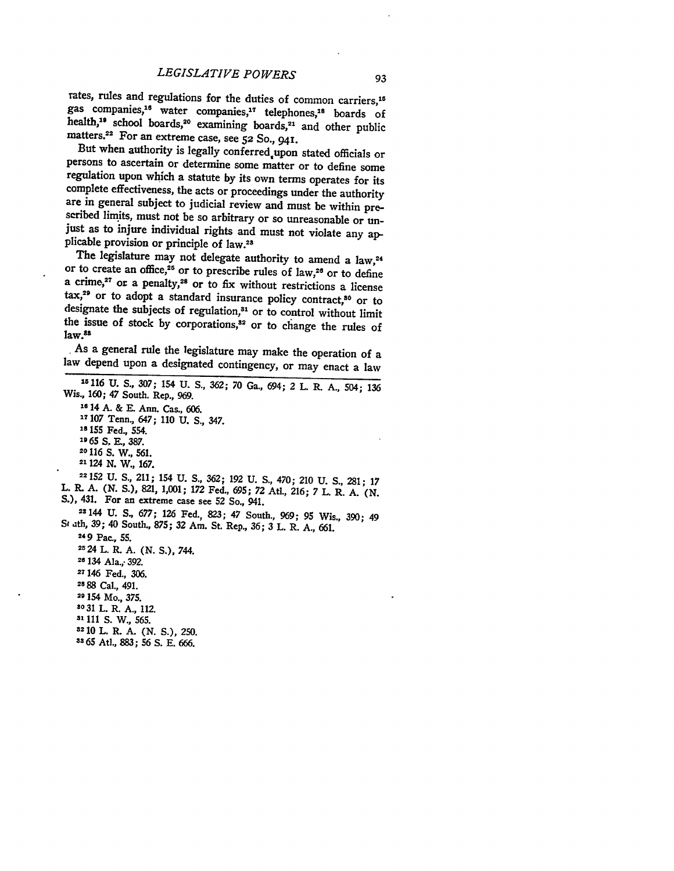rates, rules and regulations for the duties of common carriers,<sup>15</sup> gas companies,<sup>16</sup> water companies,<sup>17</sup> telephones,<sup>18</sup> boards of health,<sup>19</sup> school boards,<sup>20</sup> examining boards,<sup>21</sup> and other public matters.<sup>22</sup> For an extreme case, see 52 So., 941.

But when authority is legally conferred upon stated officials or persons to ascertain or determine some matter or to define some regulation upon which a statute by its own terms operates for its complete effectiveness, the acts or proceedings under the authority are in general subject to judicial review and must be within prescribed limits, must not be so arbitrary or so unreasonable or unjust as to injure individual rights and must not violate any applicable provision or principle of law.<sup>28</sup>

The legislature may not delegate authority to amend a law,<sup>24</sup> or to create an office,<sup>25</sup> or to prescribe rules of law,<sup>26</sup> or to define a crime,<sup>27</sup> or a penalty,<sup>28</sup> or to fix without restrictions a license tax,<sup>29</sup> or to adopt a standard insurance policy contract,<sup>30</sup> or to designate the subjects of regulation,<sup>31</sup> or to control without limit designate the subjects of regulation,<sup>31</sup> or to control without limit<br>the issue of stock by corporations,<sup>32</sup> or to change the rules of law.<sup>88</sup>

**.** As a general rule the legislature may make the operation of a law depend upon a designated contingency, or may enact a law

**15116 U. S.,** 307; 154 **U. S., 362; 70** Ga., 694; 2 L. R. **A.,** 504; **<sup>136</sup>** Wis., **160;** 47 South. Rep., **969. 16 14 A. &** *F.* Ann. Cas., **606.** 17 **107 Tenn.,** 647; **110 U. S.,** 347. **1s 155** Fed., 554. **"9 65 S, E., 387.** 20 **116 S.** W., **561. <sup>21</sup>**124 **N.** W., **167. 22152 U. S.,** 211; 154 **U. S., 362; 192 U. S.,** 470; 210 **U. S.,** 281; **17** L. R. A. (N. S.), 821, 1,001; 172 Fed., 695; 72 Atl., 216; 7 L. R. A. (N. S.), 431. For an extreme case see 52 So., 941.<br><sup>23</sup> 144 U. S., 677; 126 Fed., 823; 47 South., 969; 95 Wis., 390; 49 St ath, **39;** 40 South., **875; 32 Am.** St. Rep., **36; 3** L. R. **A., 661. 24 9** Pac., **55. 25 24** L. R. **A. (N. S.),** 744. **<sup>26</sup>**134 Ala., **392. 27** 146 Fed., **306. 28 88** Cal., 491. **29** 154 Mo., **375. 80 31** L. R. **A.,** 112. **31 111 S.** W., **565. 8210** L. R. **A. (N. S.), 250. 38 65** Atl., **883; 56 S. E. 666.**